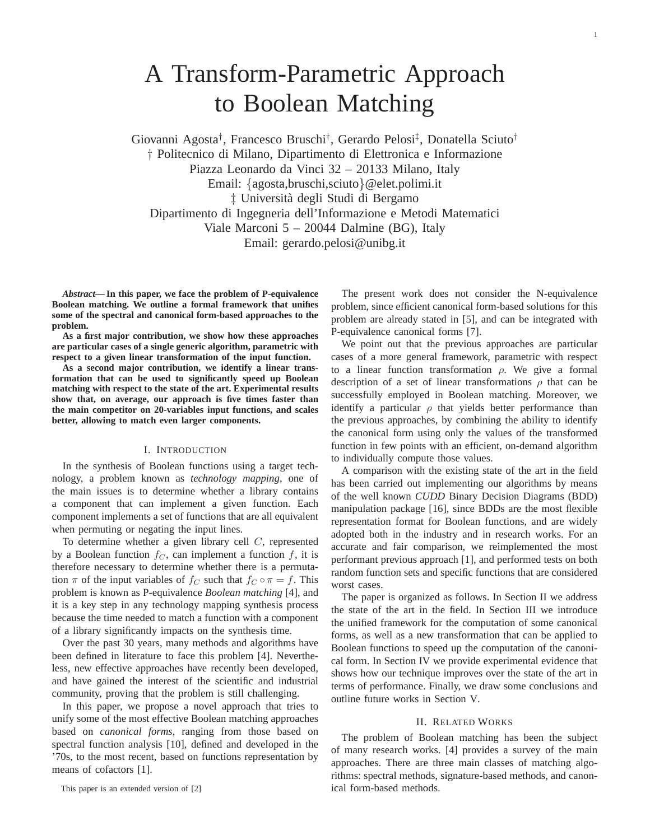Giovanni Agosta† , Francesco Bruschi† , Gerardo Pelosi‡ , Donatella Sciuto† † Politecnico di Milano, Dipartimento di Elettronica e Informazione Piazza Leonardo da Vinci 32 – 20133 Milano, Italy Email: {agosta,bruschi,sciuto}@elet.polimi.it ‡ Universita degli Studi di Bergamo ` Dipartimento di Ingegneria dell'Informazione e Metodi Matematici Viale Marconi 5 – 20044 Dalmine (BG), Italy Email: gerardo.pelosi@unibg.it

*Abstract***— In this paper, we face the problem of P-equivalence Boolean matching. We outline a formal framework that unifies some of the spectral and canonical form-based approaches to the problem.**

**As a first major contribution, we show how these approaches are particular cases of a single generic algorithm, parametric with respect to a given linear transformation of the input function.**

**As a second major contribution, we identify a linear transformation that can be used to significantly speed up Boolean matching with respect to the state of the art. Experimental results show that, on average, our approach is five times faster than the main competitor on 20-variables input functions, and scales better, allowing to match even larger components.**

#### I. INTRODUCTION

In the synthesis of Boolean functions using a target technology, a problem known as *technology mapping*, one of the main issues is to determine whether a library contains a component that can implement a given function. Each component implements a set of functions that are all equivalent when permuting or negating the input lines.

To determine whether a given library cell C, represented by a Boolean function  $f_C$ , can implement a function f, it is therefore necessary to determine whether there is a permutation  $\pi$  of the input variables of  $f_C$  such that  $f_C \circ \pi = f$ . This problem is known as P-equivalence *Boolean matching* [4], and it is a key step in any technology mapping synthesis process because the time needed to match a function with a component of a library significantly impacts on the synthesis time.

Over the past 30 years, many methods and algorithms have been defined in literature to face this problem [4]. Nevertheless, new effective approaches have recently been developed, and have gained the interest of the scientific and industrial community, proving that the problem is still challenging.

In this paper, we propose a novel approach that tries to unify some of the most effective Boolean matching approaches based on *canonical forms*, ranging from those based on spectral function analysis [10], defined and developed in the '70s, to the most recent, based on functions representation by means of cofactors [1].

The present work does not consider the N-equivalence problem, since efficient canonical form-based solutions for this problem are already stated in [5], and can be integrated with P-equivalence canonical forms [7].

We point out that the previous approaches are particular cases of a more general framework, parametric with respect to a linear function transformation  $\rho$ . We give a formal description of a set of linear transformations  $\rho$  that can be successfully employed in Boolean matching. Moreover, we identify a particular  $\rho$  that yields better performance than the previous approaches, by combining the ability to identify the canonical form using only the values of the transformed function in few points with an efficient, on-demand algorithm to individually compute those values.

A comparison with the existing state of the art in the field has been carried out implementing our algorithms by means of the well known *CUDD* Binary Decision Diagrams (BDD) manipulation package [16], since BDDs are the most flexible representation format for Boolean functions, and are widely adopted both in the industry and in research works. For an accurate and fair comparison, we reimplemented the most performant previous approach [1], and performed tests on both random function sets and specific functions that are considered worst cases.

The paper is organized as follows. In Section II we address the state of the art in the field. In Section III we introduce the unified framework for the computation of some canonical forms, as well as a new transformation that can be applied to Boolean functions to speed up the computation of the canonical form. In Section IV we provide experimental evidence that shows how our technique improves over the state of the art in terms of performance. Finally, we draw some conclusions and outline future works in Section V.

#### II. RELATED WORKS

The problem of Boolean matching has been the subject of many research works. [4] provides a survey of the main approaches. There are three main classes of matching algorithms: spectral methods, signature-based methods, and canonical form-based methods.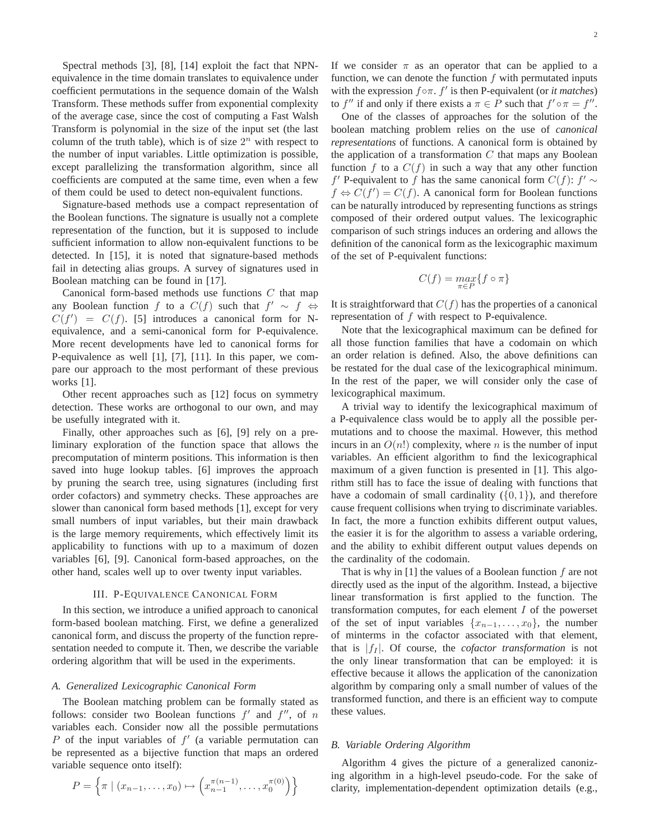Spectral methods [3], [8], [14] exploit the fact that NPNequivalence in the time domain translates to equivalence under coefficient permutations in the sequence domain of the Walsh Transform. These methods suffer from exponential complexity of the average case, since the cost of computing a Fast Walsh Transform is polynomial in the size of the input set (the last column of the truth table), which is of size  $2^n$  with respect to the number of input variables. Little optimization is possible, except parallelizing the transformation algorithm, since all coefficients are computed at the same time, even when a few of them could be used to detect non-equivalent functions.

Signature-based methods use a compact representation of the Boolean functions. The signature is usually not a complete representation of the function, but it is supposed to include sufficient information to allow non-equivalent functions to be detected. In [15], it is noted that signature-based methods fail in detecting alias groups. A survey of signatures used in Boolean matching can be found in [17].

Canonical form-based methods use functions C that map any Boolean function f to a  $C(f)$  such that  $f' \sim f \Leftrightarrow$  $C(f') = C(f)$ . [5] introduces a canonical form for Nequivalence, and a semi-canonical form for P-equivalence. More recent developments have led to canonical forms for P-equivalence as well [1], [7], [11]. In this paper, we compare our approach to the most performant of these previous works [1].

Other recent approaches such as [12] focus on symmetry detection. These works are orthogonal to our own, and may be usefully integrated with it.

Finally, other approaches such as [6], [9] rely on a preliminary exploration of the function space that allows the precomputation of minterm positions. This information is then saved into huge lookup tables. [6] improves the approach by pruning the search tree, using signatures (including first order cofactors) and symmetry checks. These approaches are slower than canonical form based methods [1], except for very small numbers of input variables, but their main drawback is the large memory requirements, which effectively limit its applicability to functions with up to a maximum of dozen variables [6], [9]. Canonical form-based approaches, on the other hand, scales well up to over twenty input variables.

## III. P-EQUIVALENCE CANONICAL FORM

In this section, we introduce a unified approach to canonical form-based boolean matching. First, we define a generalized canonical form, and discuss the property of the function representation needed to compute it. Then, we describe the variable ordering algorithm that will be used in the experiments.

## *A. Generalized Lexicographic Canonical Form*

The Boolean matching problem can be formally stated as follows: consider two Boolean functions  $f'$  and  $f''$ , of n variables each. Consider now all the possible permutations P of the input variables of  $f'$  (a variable permutation can be represented as a bijective function that maps an ordered variable sequence onto itself):

$$
P = \left\{ \pi \mid (x_{n-1}, \dots, x_0) \mapsto \left( x_{n-1}^{\pi(n-1)}, \dots, x_0^{\pi(0)} \right) \right\}
$$

If we consider  $\pi$  as an operator that can be applied to a function, we can denote the function  $f$  with permutated inputs with the expression f◦π. f ′ is then P-equivalent (or *it matches*) to f'' if and only if there exists a  $\pi \in P$  such that  $f' \circ \pi = f''$ .

One of the classes of approaches for the solution of the boolean matching problem relies on the use of *canonical representations* of functions. A canonical form is obtained by the application of a transformation  $C$  that maps any Boolean function f to a  $C(f)$  in such a way that any other function f' P-equivalent to f has the same canonical form  $C(f)$ : f' ~  $f \Leftrightarrow C(f') = C(f)$ . A canonical form for Boolean functions can be naturally introduced by representing functions as strings composed of their ordered output values. The lexicographic comparison of such strings induces an ordering and allows the definition of the canonical form as the lexicographic maximum of the set of P-equivalent functions:

$$
C(f) = \max_{\pi \in P} \{ f \circ \pi \}
$$

It is straightforward that  $C(f)$  has the properties of a canonical representation of  $f$  with respect to P-equivalence.

Note that the lexicographical maximum can be defined for all those function families that have a codomain on which an order relation is defined. Also, the above definitions can be restated for the dual case of the lexicographical minimum. In the rest of the paper, we will consider only the case of lexicographical maximum.

A trivial way to identify the lexicographical maximum of a P-equivalence class would be to apply all the possible permutations and to choose the maximal. However, this method incurs in an  $O(n!)$  complexity, where n is the number of input variables. An efficient algorithm to find the lexicographical maximum of a given function is presented in [1]. This algorithm still has to face the issue of dealing with functions that have a codomain of small cardinality  $({0, 1})$ , and therefore cause frequent collisions when trying to discriminate variables. In fact, the more a function exhibits different output values, the easier it is for the algorithm to assess a variable ordering, and the ability to exhibit different output values depends on the cardinality of the codomain.

That is why in [1] the values of a Boolean function  $f$  are not directly used as the input of the algorithm. Instead, a bijective linear transformation is first applied to the function. The transformation computes, for each element I of the powerset of the set of input variables  $\{x_{n-1},\ldots,x_0\}$ , the number of minterms in the cofactor associated with that element, that is  $|f_I|$ . Of course, the *cofactor transformation* is not the only linear transformation that can be employed: it is effective because it allows the application of the canonization algorithm by comparing only a small number of values of the transformed function, and there is an efficient way to compute these values.

### *B. Variable Ordering Algorithm*

Algorithm 4 gives the picture of a generalized canonizing algorithm in a high-level pseudo-code. For the sake of clarity, implementation-dependent optimization details (e.g.,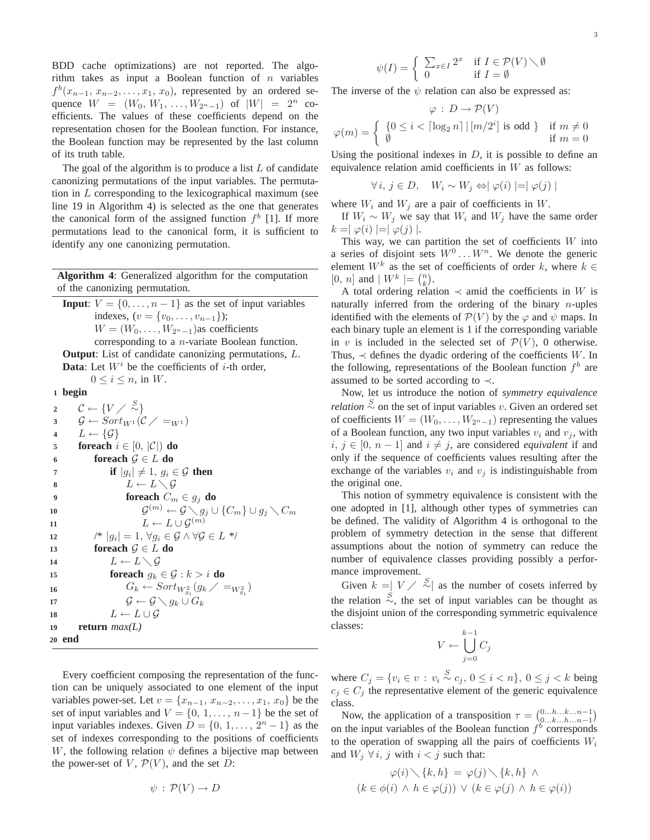BDD cache optimizations) are not reported. The algorithm takes as input a Boolean function of  $n$  variables  $f^{b}(x_{n-1}, x_{n-2},..., x_1, x_0)$ , represented by an ordered sequence  $W = (W_0, W_1, \ldots, W_{2n-1})$  of  $|W| = 2^n$  coefficients. The values of these coefficients depend on the representation chosen for the Boolean function. For instance, the Boolean function may be represented by the last column of its truth table.

The goal of the algorithm is to produce a list  $L$  of candidate canonizing permutations of the input variables. The permutation in  $L$  corresponding to the lexicographical maximum (see line 19 in Algorithm 4) is selected as the one that generates the canonical form of the assigned function  $f<sup>b</sup>$  [1]. If more permutations lead to the canonical form, it is sufficient to identify any one canonizing permutation.

**Algorithm 4**: Generalized algorithm for the computation of the canonizing permutation.

**Input**:  $V = \{0, \ldots, n-1\}$  as the set of input variables indexes,  $(v = \{v_0, \ldots, v_{n-1}\})$ ;  $W = (W_0, \ldots, W_{2^n-1})$ as coefficients corresponding to a n-variate Boolean function. **Output**: List of candidate canonizing permutations, L. **Data**: Let  $W^i$  be the coefficients of  $i$ -th order,  $0 \leq i \leq n$ , in W. **<sup>1</sup> begin**  $c \leftarrow \{V \diagup \frac{S}{\sim} \}$ 3  $\mathcal{G} \leftarrow \text{Sort}_{W^1}(\mathcal{C} \diagup \equiv_{W^1})$ 4  $L \leftarrow \{G\}$ **5 foreach**  $i \in [0, |\mathcal{C}|)$  **do 6 foreach**  $\mathcal{G} \in L$  **do** *if*  $|g_i| \neq 1, g_i \in \mathcal{G}$  **then** 8  $L \leftarrow L \setminus \mathcal{G}$ **9 foreach**  $C_m \in g_j$  **do** 10  $\mathcal{G}^{(m)} \leftarrow \mathcal{G} \diagdown g_j \cup \{C_m\} \cup g_j \diagdown C_m$  $L \leftarrow L \cup \mathcal{G}^{(m)}$ **11** 12  $\vert g_i \vert = 1, \forall g_i \in \mathcal{G} \land \forall \mathcal{G} \in L^*$ / **13 foreach**  $\mathcal{G} \in L$  **do** 14  $L \leftarrow L \setminus \mathcal{G}$ **15 foreach**  $g_k \in \mathcal{G} : k > i$  **do** 16  $G_k \leftarrow Sort_{W_{g_i}^2}(g_k \, / \, =_{W_{g_i}^2})$ 17  $\mathcal{G} \leftarrow \mathcal{G} \setminus g_k \cup G_k$ 

18  $L \leftarrow L \cup \mathcal{G}$ **<sup>19</sup> return** *max(L)*

**20 end**

 $\psi(I) = \begin{cases} \sum_{x \in I} 2^x & \text{if } I \in \mathcal{P}(V) \setminus \emptyset \\ 0 & \text{if } I \in \emptyset \end{cases}$ 0 if  $I = \emptyset$ 

The inverse of the  $\psi$  relation can also be expressed as:

$$
\varphi : D \to \mathcal{P}(V)
$$
  

$$
\varphi(m) = \begin{cases} \{0 \le i < \lceil \log_2 n \rceil \mid [m/2^i] \text{ is odd } \} & \text{if } m \ne 0 \\ \emptyset & \text{if } m = 0 \end{cases}
$$

Using the positional indexes in  $D$ , it is possible to define an equivalence relation amid coefficients in W as follows:

$$
\forall i, j \in D, \quad W_i \sim W_j \Leftrightarrow |\varphi(i)| = |\varphi(j)|
$$

where  $W_i$  and  $W_j$  are a pair of coefficients in  $W$ .

If  $W_i \sim W_j$  we say that  $W_i$  and  $W_j$  have the same order  $k = |\varphi(i)| = |\varphi(j)|.$ 

This way, we can partition the set of coefficients  $W$  into a series of disjoint sets  $W^0 \dots W^n$ . We denote the generic element  $W^k$  as the set of coefficients of order k, where  $k \in$  $[0, n]$  and  $\mid W^k \mid = {n \choose k}.$ 

A total ordering relation  $\prec$  amid the coefficients in W is naturally inferred from the ordering of the binary  $n$ -uples identified with the elements of  $\mathcal{P}(V)$  by the  $\varphi$  and  $\psi$  maps. In each binary tuple an element is 1 if the corresponding variable in v is included in the selected set of  $\mathcal{P}(V)$ , 0 otherwise. Thus,  $\prec$  defines the dyadic ordering of the coefficients W. In the following, representations of the Boolean function  $f<sup>b</sup>$  are assumed to be sorted according to  $\prec$ .

Now, let us introduce the notion of *symmetry equivalence relation*  $\stackrel{S}{\sim}$  on the set of input variables v. Given an ordered set of coefficients  $W = (W_0, \ldots, W_{2^n-1})$  representing the values of a Boolean function, any two input variables  $v_i$  and  $v_j$ , with *i*, *j* ∈ [0, *n* − 1] and *i*  $\neq$  *j*, are considered *equivalent* if and only if the sequence of coefficients values resulting after the exchange of the variables  $v_i$  and  $v_j$  is indistinguishable from the original one.

This notion of symmetry equivalence is consistent with the one adopted in [1], although other types of symmetries can be defined. The validity of Algorithm 4 is orthogonal to the problem of symmetry detection in the sense that different assumptions about the notion of symmetry can reduce the number of equivalence classes providing possibly a performance improvement.

Given  $k = |V| \times \frac{S}{S}$  as the number of cosets inferred by the relation  $\stackrel{S}{\sim}$ , the set of input variables can be thought as the disjoint union of the corresponding symmetric equivalence classes:

$$
V \leftarrow \bigcup_{j=0}^{k-1} C_j
$$

where  $C_j = \{v_i \in v : v_i \stackrel{S}{\sim} c_j, 0 \leq i \leq n\}, 0 \leq j \leq k$  being  $c_i \in C_i$  the representative element of the generic equivalence class.

Now, the application of a transposition  $\tau = \begin{pmatrix} 0 & \dots & h & \dots & h & \dots & h-1 \\ 0 & \dots & h & \dots & h & \dots & h-1 \end{pmatrix}$ on the input variables of the Boolean function  $f<sup>b</sup>$  corresponds to the operation of swapping all the pairs of coefficients  $W_i$ and  $W_j \forall i, j$  with  $i < j$  such that:

$$
\varphi(i) \setminus \{k, h\} = \varphi(j) \setminus \{k, h\} \land (k \in \phi(i) \land h \in \varphi(j)) \lor (k \in \varphi(j) \land h \in \varphi(i))
$$

 $\psi$ :  $\mathcal{P}(V) \rightarrow D$ 

the power-set of  $V$ ,  $\mathcal{P}(V)$ , and the set  $D$ :

Every coefficient composing the representation of the function can be uniquely associated to one element of the input variables power-set. Let  $v = \{x_{n-1}, x_{n-2}, \ldots, x_1, x_0\}$  be the set of input variables and  $V = \{0, 1, \ldots, n-1\}$  be the set of input variables indexes. Given  $D = \{0, 1, \ldots, 2<sup>n</sup> - 1\}$  as the set of indexes corresponding to the positions of coefficients W, the following relation  $\psi$  defines a bijective map between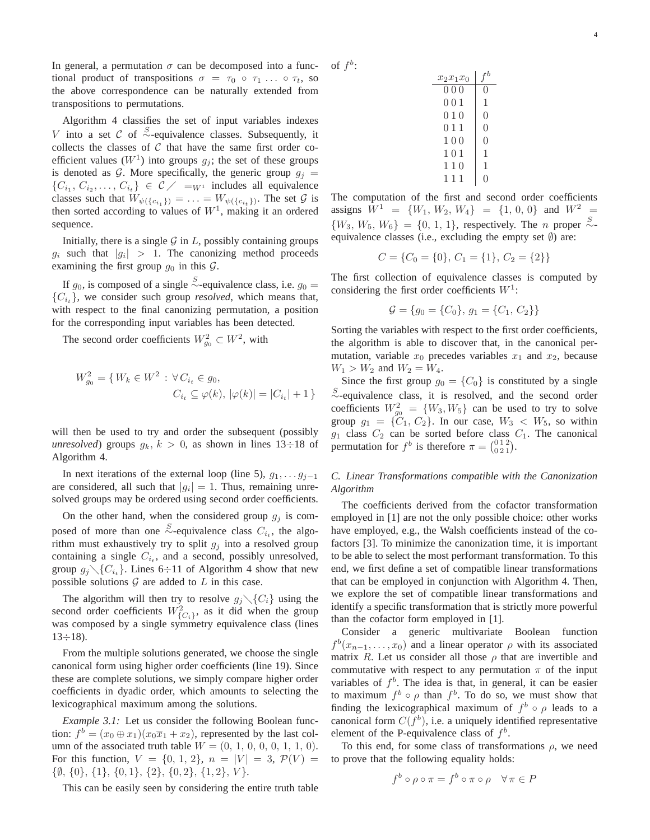In general, a permutation  $\sigma$  can be decomposed into a functional product of transpositions  $\sigma = \tau_0 \circ \tau_1 \dots \circ \tau_t$ , so the above correspondence can be naturally extended from transpositions to permutations.

Algorithm 4 classifies the set of input variables indexes V into a set C of  $\stackrel{S}{\sim}$ -equivalence classes. Subsequently, it collects the classes of  $C$  that have the same first order coefficient values  $(W^1)$  into groups  $g_j$ ; the set of these groups is denoted as G. More specifically, the generic group  $g_i =$  $\{C_{i_1}, C_{i_2}, \ldots, C_{i_t}\} \in \mathcal{C} \diagup \equiv_{W^1} \text{ includes all equivalence}$ classes such that  $W_{\psi({c_i}_1)} = \ldots = W_{\psi({c_i}_t)}$ . The set  $G$  is then sorted according to values of  $W<sup>1</sup>$ , making it an ordered sequence.

Initially, there is a single  $G$  in  $L$ , possibly containing groups  $g_i$  such that  $|g_i| > 1$ . The canonizing method proceeds examining the first group  $g_0$  in this  $\mathcal{G}$ .

If  $g_0$ , is composed of a single  $\stackrel{S}{\sim}$ -equivalence class, i.e.  $g_0 =$  ${C_{i_t}}$ , we consider such group *resolved*, which means that, with respect to the final canonizing permutation, a position for the corresponding input variables has been detected.

The second order coefficients  $W_{g_0}^2 \subset W^2$ , with

$$
W_{g_0}^2 = \{ W_k \in W^2 : \forall C_{i_t} \in g_0, C_{i_t} \subseteq \varphi(k), |\varphi(k)| = |C_{i_t}| + 1 \}
$$

will then be used to try and order the subsequent (possibly *unresolved*) groups  $g_k$ ,  $k > 0$ , as shown in lines 13÷18 of Algorithm 4.

In next iterations of the external loop (line 5),  $g_1, \ldots, g_{i-1}$ are considered, all such that  $|g_i| = 1$ . Thus, remaining unresolved groups may be ordered using second order coefficients.

On the other hand, when the considered group  $g_j$  is composed of more than one  $\stackrel{S}{\sim}$ -equivalence class  $C_{i_t}$ , the algorithm must exhaustively try to split  $g_j$  into a resolved group containing a single  $C_{i_t}$ , and a second, possibly unresolved, group  $g_j \setminus \{C_{i_t}\}\$ . Lines 6÷11 of Algorithm 4 show that new possible solutions  $G$  are added to  $L$  in this case.

The algorithm will then try to resolve  $g_j \setminus \{C_i\}$  using the second order coefficients  $W_{\{C_i\}}^2$ , as it did when the group was composed by a single symmetry equivalence class (lines  $13 \div 18$ ).

From the multiple solutions generated, we choose the single canonical form using higher order coefficients (line 19). Since these are complete solutions, we simply compare higher order coefficients in dyadic order, which amounts to selecting the lexicographical maximum among the solutions.

*Example 3.1:* Let us consider the following Boolean function:  $f^b = (x_0 \oplus x_1)(x_0 \overline{x}_1 + x_2)$ , represented by the last column of the associated truth table  $W = (0, 1, 0, 0, 0, 1, 1, 0)$ . For this function,  $V = \{0, 1, 2\}$ ,  $n = |V| = 3$ ,  $\mathcal{P}(V) =$  $\{\emptyset, \{0\}, \{1\}, \{0,1\}, \{2\}, \{0,2\}, \{1,2\}, \{V\}.$ 

This can be easily seen by considering the entire truth table

| $x_2x_1x_0$ | ۰b               |
|-------------|------------------|
| 000         | $\left( \right)$ |
| 001         | 1                |
| 010         | 0                |
| 011         | 0                |
| 100         | $\left( \right)$ |
| 101         | 1                |
| 110         | 1                |
| 111         |                  |

of  $f^b$ :

The computation of the first and second order coefficients assigns  $W^1 = \{W_1, W_2, W_4\} = \{1, 0, 0\}$  and  $W^2 =$  ${W_3, W_5, W_6} = {0, 1, 1}$ , respectively. The *n* proper  $\stackrel{S}{\sim}$ equivalence classes (i.e., excluding the empty set  $\emptyset$ ) are:

$$
C = \{C_0 = \{0\}, C_1 = \{1\}, C_2 = \{2\}\}\
$$

The first collection of equivalence classes is computed by considering the first order coefficients  $W^1$ :

$$
\mathcal{G} = \{g_0 = \{C_0\}, g_1 = \{C_1, C_2\}\}\
$$

Sorting the variables with respect to the first order coefficients, the algorithm is able to discover that, in the canonical permutation, variable  $x_0$  precedes variables  $x_1$  and  $x_2$ , because  $W_1 > W_2$  and  $W_2 = W_4$ .

Since the first group  $g_0 = \{C_0\}$  is constituted by a single <sup>S</sup>∼-equivalence class, it is resolved, and the second order coefficients  $W_{g_0}^2 = \{W_3, W_5\}$  can be used to try to solve group  $g_1 = \{C_1, C_2\}$ . In our case,  $W_3 < W_5$ , so within  $g_1$  class  $C_2$  can be sorted before class  $C_1$ . The canonical permutation for  $f^b$  is therefore  $\pi = \begin{pmatrix} 0 & 1 & 2 \\ 0 & 2 & 1 \end{pmatrix}$ .

# *C. Linear Transformations compatible with the Canonization Algorithm*

The coefficients derived from the cofactor transformation employed in [1] are not the only possible choice: other works have employed, e.g., the Walsh coefficients instead of the cofactors [3]. To minimize the canonization time, it is important to be able to select the most performant transformation. To this end, we first define a set of compatible linear transformations that can be employed in conjunction with Algorithm 4. Then, we explore the set of compatible linear transformations and identify a specific transformation that is strictly more powerful than the cofactor form employed in [1].

Consider a generic multivariate Boolean function  $f^{b}(x_{n-1},...,x_0)$  and a linear operator  $\rho$  with its associated matrix R. Let us consider all those  $\rho$  that are invertible and commutative with respect to any permutation  $\pi$  of the input variables of  $f<sup>b</sup>$ . The idea is that, in general, it can be easier to maximum  $f^b \circ \rho$  than  $f^b$ . To do so, we must show that finding the lexicographical maximum of  $f^b \circ \rho$  leads to a canonical form  $C(f^b)$ , i.e. a uniquely identified representative element of the P-equivalence class of  $f<sup>b</sup>$ .

To this end, for some class of transformations  $\rho$ , we need to prove that the following equality holds:

$$
f^b \circ \rho \circ \pi = f^b \circ \pi \circ \rho \quad \forall \pi \in P
$$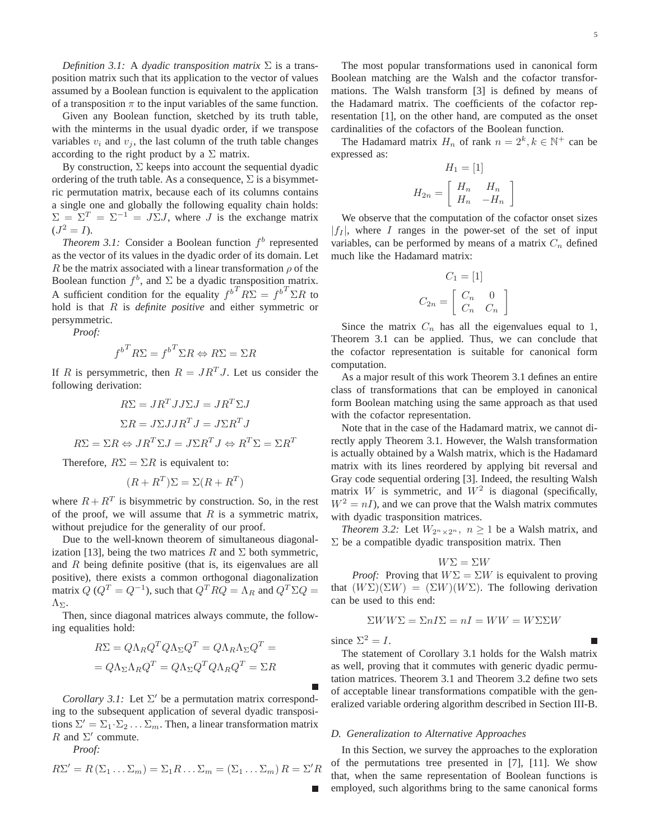*Definition 3.1:* A *dyadic transposition matrix* Σ is a transposition matrix such that its application to the vector of values assumed by a Boolean function is equivalent to the application of a transposition  $\pi$  to the input variables of the same function.

Given any Boolean function, sketched by its truth table, with the minterms in the usual dyadic order, if we transpose variables  $v_i$  and  $v_j$ , the last column of the truth table changes according to the right product by a  $\Sigma$  matrix.

By construction,  $\Sigma$  keeps into account the sequential dyadic ordering of the truth table. As a consequence,  $\Sigma$  is a bisymmetric permutation matrix, because each of its columns contains a single one and globally the following equality chain holds:  $\Sigma = \Sigma^{T} = \Sigma^{-1} = J\Sigma J$ , where J is the exchange matrix  $(J^2 = I).$ 

*Theorem 3.1:* Consider a Boolean function  $f<sup>b</sup>$  represented as the vector of its values in the dyadic order of its domain. Let R be the matrix associated with a linear transformation  $\rho$  of the Boolean function  $f^b$ , and  $\Sigma$  be a dyadic transposition matrix. A sufficient condition for the equality  $f^{b^T} R \Sigma = f^{b^T} \Sigma R$  to hold is that R is *definite positive* and either symmetric or persymmetric.

*Proof:*

$$
f^{b^T} R \Sigma = f^{b^T} \Sigma R \Leftrightarrow R \Sigma = \Sigma R
$$

If R is persymmetric, then  $R = JR<sup>T</sup>J$ . Let us consider the following derivation:

$$
R\Sigma = JR^TJJ\Sigma J = JR^T\Sigma J
$$

$$
\Sigma R = J\Sigma JJR^TJ = J\Sigma R^TJ
$$

$$
R\Sigma = \Sigma R \Leftrightarrow JR^T\Sigma J = J\Sigma R^TJ \Leftrightarrow R^T\Sigma = \Sigma R^T
$$

Therefore,  $R\Sigma = \Sigma R$  is equivalent to:

$$
(R + R^T)\Sigma = \Sigma(R + R^T)
$$

where  $R + R<sup>T</sup>$  is bisymmetric by construction. So, in the rest of the proof, we will assume that  $R$  is a symmetric matrix, without prejudice for the generality of our proof.

Due to the well-known theorem of simultaneous diagonalization [13], being the two matrices R and  $\Sigma$  both symmetric, and R being definite positive (that is, its eigenvalues are all positive), there exists a common orthogonal diagonalization matrix  $Q$  ( $Q^T = Q^{-1}$ ), such that  $Q^T R Q = \Lambda_R$  and  $Q^T \Sigma Q =$  $Λ_{\Sigma}$ .

Then, since diagonal matrices always commute, the following equalities hold:

$$
R\Sigma = Q\Lambda_R Q^T Q \Lambda_\Sigma Q^T = Q\Lambda_R \Lambda_\Sigma Q^T =
$$

$$
= Q\Lambda_\Sigma \Lambda_R Q^T = Q\Lambda_\Sigma Q^T Q \Lambda_R Q^T = \Sigma R
$$

*Corollary 3.1:* Let  $\Sigma'$  be a permutation matrix corresponding to the subsequent application of several dyadic transpositions  $\Sigma' = \Sigma_1 \cdot \Sigma_2 \dots \Sigma_m$ . Then, a linear transformation matrix R and  $\Sigma'$  commute.

*Proof:*

$$
R\Sigma' = R(\Sigma_1 \dots \Sigma_m) = \Sigma_1 R \dots \Sigma_m = (\Sigma_1 \dots \Sigma_m) R = \Sigma' R
$$

The most popular transformations used in canonical form Boolean matching are the Walsh and the cofactor transformations. The Walsh transform [3] is defined by means of the Hadamard matrix. The coefficients of the cofactor representation [1], on the other hand, are computed as the onset cardinalities of the cofactors of the Boolean function.

The Hadamard matrix  $H_n$  of rank  $n = 2^k, k \in \mathbb{N}^+$  can be expressed as:

$$
H_1 = [1]
$$
  

$$
H_{2n} = \begin{bmatrix} H_n & H_n \\ H_n & -H_n \end{bmatrix}
$$

We observe that the computation of the cofactor onset sizes  $|f_I|$ , where I ranges in the power-set of the set of input variables, can be performed by means of a matrix  $C_n$  defined much like the Hadamard matrix:

$$
C_1 = [1]
$$

$$
C_{2n} = \begin{bmatrix} C_n & 0 \\ C_n & C_n \end{bmatrix}
$$

Since the matrix  $C_n$  has all the eigenvalues equal to 1, Theorem 3.1 can be applied. Thus, we can conclude that the cofactor representation is suitable for canonical form computation.

As a major result of this work Theorem 3.1 defines an entire class of transformations that can be employed in canonical form Boolean matching using the same approach as that used with the cofactor representation.

Note that in the case of the Hadamard matrix, we cannot directly apply Theorem 3.1. However, the Walsh transformation is actually obtained by a Walsh matrix, which is the Hadamard matrix with its lines reordered by applying bit reversal and Gray code sequential ordering [3]. Indeed, the resulting Walsh matrix W is symmetric, and  $W^2$  is diagonal (specifically,  $W^2 = nI$ , and we can prove that the Walsh matrix commutes with dyadic trasponsition matrices.

*Theorem 3.2:* Let  $W_{2^n \times 2^n}$ ,  $n \geq 1$  be a Walsh matrix, and  $\Sigma$  be a compatible dyadic transposition matrix. Then

$$
W\Sigma=\Sigma W
$$

*Proof:* Proving that  $W\Sigma = \Sigma W$  is equivalent to proving that  $(W\Sigma)(\Sigma W) = (\Sigma W)(W\Sigma)$ . The following derivation can be used to this end:

$$
\Sigma WW\Sigma = \Sigma nI\Sigma = nI = WW = W\Sigma\Sigma W
$$

since  $\Sigma^2 = I$ .

The statement of Corollary 3.1 holds for the Walsh matrix as well, proving that it commutes with generic dyadic permutation matrices. Theorem 3.1 and Theorem 3.2 define two sets of acceptable linear transformations compatible with the generalized variable ordering algorithm described in Section III-B.

### *D. Generalization to Alternative Approaches*

In this Section, we survey the approaches to the exploration of the permutations tree presented in [7], [11]. We show that, when the same representation of Boolean functions is employed, such algorithms bring to the same canonical forms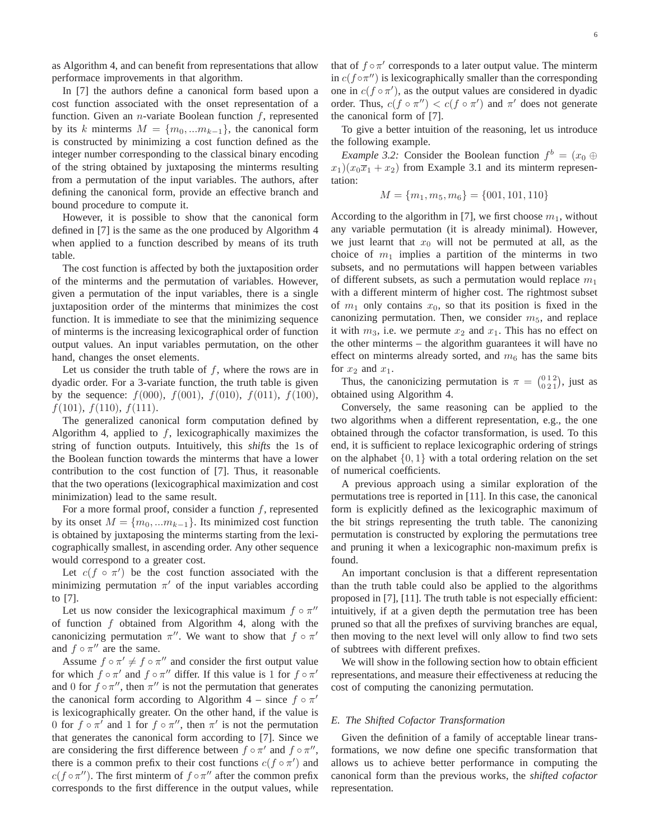as Algorithm 4, and can benefit from representations that allow performace improvements in that algorithm.

In [7] the authors define a canonical form based upon a cost function associated with the onset representation of a function. Given an *n*-variate Boolean function  $f$ , represented by its k minterms  $M = \{m_0, ... m_{k-1}\}\$ , the canonical form is constructed by minimizing a cost function defined as the integer number corresponding to the classical binary encoding of the string obtained by juxtaposing the minterms resulting from a permutation of the input variables. The authors, after defining the canonical form, provide an effective branch and bound procedure to compute it.

However, it is possible to show that the canonical form defined in [7] is the same as the one produced by Algorithm 4 when applied to a function described by means of its truth table.

The cost function is affected by both the juxtaposition order of the minterms and the permutation of variables. However, given a permutation of the input variables, there is a single juxtaposition order of the minterms that minimizes the cost function. It is immediate to see that the minimizing sequence of minterms is the increasing lexicographical order of function output values. An input variables permutation, on the other hand, changes the onset elements.

Let us consider the truth table of  $f$ , where the rows are in dyadic order. For a 3-variate function, the truth table is given by the sequence:  $f(000)$ ,  $f(001)$ ,  $f(010)$ ,  $f(011)$ ,  $f(100)$ ,  $f(101)$ ,  $f(110)$ ,  $f(111)$ .

The generalized canonical form computation defined by Algorithm 4, applied to  $f$ , lexicographically maximizes the string of function outputs. Intuitively, this *shifts* the 1s of the Boolean function towards the minterms that have a lower contribution to the cost function of [7]. Thus, it reasonable that the two operations (lexicographical maximization and cost minimization) lead to the same result.

For a more formal proof, consider a function  $f$ , represented by its onset  $M = \{m_0, ... m_{k-1}\}.$  Its minimized cost function is obtained by juxtaposing the minterms starting from the lexicographically smallest, in ascending order. Any other sequence would correspond to a greater cost.

Let  $c(f \circ \pi')$  be the cost function associated with the minimizing permutation  $\pi'$  of the input variables according to [7].

Let us now consider the lexicographical maximum  $f \circ \pi''$ of function  $f$  obtained from Algorithm 4, along with the canonicizing permutation  $\pi''$ . We want to show that  $f \circ \pi'$ and  $f \circ \pi''$  are the same.

Assume  $f \circ \pi' \neq f \circ \pi''$  and consider the first output value for which  $f \circ \pi'$  and  $f \circ \pi''$  differ. If this value is 1 for  $f \circ \pi'$ and 0 for  $f \circ \pi''$ , then  $\pi''$  is not the permutation that generates the canonical form according to Algorithm 4 – since  $f \circ \pi'$ is lexicographically greater. On the other hand, if the value is 0 for  $f \circ \pi'$  and 1 for  $f \circ \pi''$ , then  $\pi'$  is not the permutation that generates the canonical form according to [7]. Since we are considering the first difference between  $f \circ \pi'$  and  $f \circ \pi''$ , there is a common prefix to their cost functions  $c(f \circ \pi')$  and  $c(f \circ \pi'')$ . The first minterm of  $f \circ \pi''$  after the common prefix corresponds to the first difference in the output values, while

that of  $f \circ \pi'$  corresponds to a later output value. The minterm in  $c(f \circ \pi'')$  is lexicographically smaller than the corresponding one in  $c(f \circ \pi')$ , as the output values are considered in dyadic order. Thus,  $c(f \circ \pi'') < c(f \circ \pi')$  and  $\pi'$  does not generate the canonical form of [7].

To give a better intuition of the reasoning, let us introduce the following example.

*Example 3.2:* Consider the Boolean function  $f^b = (x_0 \oplus$  $x_1(x_0\overline{x}_1 + x_2)$  from Example 3.1 and its minterm representation:

$$
M = \{m_1, m_5, m_6\} = \{001, 101, 110\}
$$

According to the algorithm in [7], we first choose  $m_1$ , without any variable permutation (it is already minimal). However, we just learnt that  $x_0$  will not be permuted at all, as the choice of  $m_1$  implies a partition of the minterms in two subsets, and no permutations will happen between variables of different subsets, as such a permutation would replace  $m_1$ with a different minterm of higher cost. The rightmost subset of  $m_1$  only contains  $x_0$ , so that its position is fixed in the canonizing permutation. Then, we consider  $m<sub>5</sub>$ , and replace it with  $m_3$ , i.e. we permute  $x_2$  and  $x_1$ . This has no effect on the other minterms – the algorithm guarantees it will have no effect on minterms already sorted, and  $m<sub>6</sub>$  has the same bits for  $x_2$  and  $x_1$ .

Thus, the canonicizing permutation is  $\pi = \begin{pmatrix} 0 & 1 & 2 \\ 0 & 2 & 1 \end{pmatrix}$ , just as obtained using Algorithm 4.

Conversely, the same reasoning can be applied to the two algorithms when a different representation, e.g., the one obtained through the cofactor transformation, is used. To this end, it is sufficient to replace lexicographic ordering of strings on the alphabet  $\{0, 1\}$  with a total ordering relation on the set of numerical coefficients.

A previous approach using a similar exploration of the permutations tree is reported in [11]. In this case, the canonical form is explicitly defined as the lexicographic maximum of the bit strings representing the truth table. The canonizing permutation is constructed by exploring the permutations tree and pruning it when a lexicographic non-maximum prefix is found.

An important conclusion is that a different representation than the truth table could also be applied to the algorithms proposed in [7], [11]. The truth table is not especially efficient: intuitively, if at a given depth the permutation tree has been pruned so that all the prefixes of surviving branches are equal, then moving to the next level will only allow to find two sets of subtrees with different prefixes.

We will show in the following section how to obtain efficient representations, and measure their effectiveness at reducing the cost of computing the canonizing permutation.

### *E. The Shifted Cofactor Transformation*

Given the definition of a family of acceptable linear transformations, we now define one specific transformation that allows us to achieve better performance in computing the canonical form than the previous works, the *shifted cofactor* representation.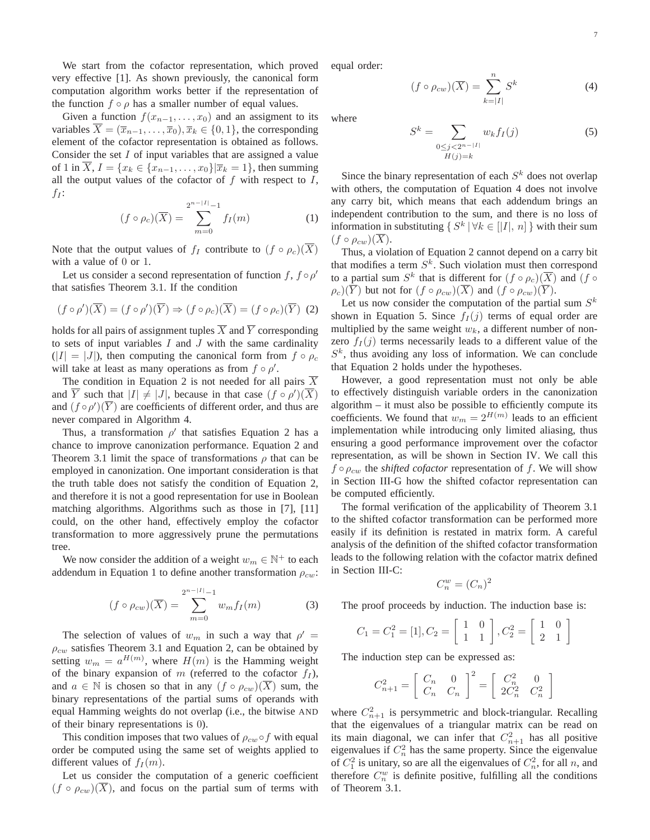We start from the cofactor representation, which proved very effective [1]. As shown previously, the canonical form computation algorithm works better if the representation of the function  $f \circ \rho$  has a smaller number of equal values.

Given a function  $f(x_{n-1},...,x_0)$  and an assigment to its variables  $\overline{X} = (\overline{x}_{n-1}, \ldots, \overline{x}_0), \overline{x}_k \in \{0, 1\}$ , the corresponding element of the cofactor representation is obtained as follows. Consider the set  $I$  of input variables that are assigned a value of 1 in  $\overline{X}$ ,  $I = \{x_k \in \{x_{n-1}, \ldots, x_0\} | \overline{x}_k = 1\}$ , then summing all the output values of the cofactor of  $f$  with respect to  $I$ ,  $f_I$ :

$$
(f \circ \rho_c)(\overline{X}) = \sum_{m=0}^{2^{n-|I|}-1} f_I(m)
$$
 (1)

Note that the output values of  $f_I$  contribute to  $(f \circ \rho_c)(\overline{X})$ with a value of 0 or 1.

Let us consider a second representation of function f,  $f \circ \rho'$ that satisfies Theorem 3.1. If the condition

$$
(f \circ \rho')(\overline{X}) = (f \circ \rho')(\overline{Y}) \Rightarrow (f \circ \rho_c)(\overline{X}) = (f \circ \rho_c)(\overline{Y}) \tag{2}
$$

holds for all pairs of assignment tuples  $\overline{X}$  and  $\overline{Y}$  corresponding to sets of input variables  $I$  and  $J$  with the same cardinality  $(|I| = |J|)$ , then computing the canonical form from  $f \circ \rho_c$ will take at least as many operations as from  $f \circ \rho'$ .

The condition in Equation 2 is not needed for all pairs  $\overline{X}$ and  $\overline{Y}$  such that  $|I| \neq |J|$ , because in that case  $(f \circ \rho')(\overline{X})$ and  $(f \circ \rho')(\overline{Y})$  are coefficients of different order, and thus are never compared in Algorithm 4.

Thus, a transformation  $\rho'$  that satisfies Equation 2 has a chance to improve canonization performance. Equation 2 and Theorem 3.1 limit the space of transformations  $\rho$  that can be employed in canonization. One important consideration is that the truth table does not satisfy the condition of Equation 2, and therefore it is not a good representation for use in Boolean matching algorithms. Algorithms such as those in [7], [11] could, on the other hand, effectively employ the cofactor transformation to more aggressively prune the permutations tree.

We now consider the addition of a weight  $w_m \in \mathbb{N}^+$  to each addendum in Equation 1 to define another transformation  $\rho_{cw}$ :

$$
(f \circ \rho_{cw})(\overline{X}) = \sum_{m=0}^{2^{n-|I|}-1} w_m f_I(m)
$$
 (3)

The selection of values of  $w_m$  in such a way that  $\rho' =$  $\rho_{cw}$  satisfies Theorem 3.1 and Equation 2, can be obtained by setting  $w_m = a^{H(m)}$ , where  $H(m)$  is the Hamming weight of the binary expansion of m (referred to the cofactor  $f_I$ ), and  $a \in \mathbb{N}$  is chosen so that in any  $(f \circ \rho_{cw})(X)$  sum, the binary representations of the partial sums of operands with equal Hamming weights do not overlap (i.e., the bitwise AND of their binary representations is 0).

This condition imposes that two values of  $\rho_{cw} \circ f$  with equal order be computed using the same set of weights applied to different values of  $f_I(m)$ .

Let us consider the computation of a generic coefficient  $(f \circ \rho_{cw})(\overline{X})$ , and focus on the partial sum of terms with equal order:

$$
(f \circ \rho_{cw})(\overline{X}) = \sum_{k=|I|}^{n} S^k
$$
 (4)

where

$$
S^{k} = \sum_{\substack{0 \le j < 2^{n-|I|} \\ H(j)=k}} w_{k} f_{I}(j) \tag{5}
$$

Since the binary representation of each  $S<sup>k</sup>$  does not overlap with others, the computation of Equation 4 does not involve any carry bit, which means that each addendum brings an independent contribution to the sum, and there is no loss of information in substituting  $\{ S^k \mid \forall k \in [n] \}$  with their sum  $(f \circ \rho_{cw})(\overline{X}).$ 

Thus, a violation of Equation 2 cannot depend on a carry bit that modifies a term  $S^k$ . Such violation must then correspond to a partial sum  $S^k$  that is different for  $(f \circ \rho_c)(\overline{X})$  and  $(f \circ$  $\rho_c(\overline{Y})$  but not for  $(f \circ \rho_{cw})(\overline{X})$  and  $(f \circ \rho_{cw})(\overline{Y})$ .

Let us now consider the computation of the partial sum  $S<sup>k</sup>$ shown in Equation 5. Since  $f_I(j)$  terms of equal order are multiplied by the same weight  $w_k$ , a different number of nonzero  $f_I(j)$  terms necessarily leads to a different value of the  $S<sup>k</sup>$ , thus avoiding any loss of information. We can conclude that Equation 2 holds under the hypotheses.

However, a good representation must not only be able to effectively distinguish variable orders in the canonization algorithm – it must also be possible to efficiently compute its coefficients. We found that  $w_m = 2^{H(m)}$  leads to an efficient implementation while introducing only limited aliasing, thus ensuring a good performance improvement over the cofactor representation, as will be shown in Section IV. We call this  $f \circ \rho_{cw}$  the *shifted cofactor* representation of f. We will show in Section III-G how the shifted cofactor representation can be computed efficiently.

The formal verification of the applicability of Theorem 3.1 to the shifted cofactor transformation can be performed more easily if its definition is restated in matrix form. A careful analysis of the definition of the shifted cofactor transformation leads to the following relation with the cofactor matrix defined in Section III-C:

$$
C_n^w = (C_n)^2
$$

The proof proceeds by induction. The induction base is:

$$
C_1 = C_1^2 = [1], C_2 = \begin{bmatrix} 1 & 0 \\ 1 & 1 \end{bmatrix}, C_2^2 = \begin{bmatrix} 1 & 0 \\ 2 & 1 \end{bmatrix}
$$

The induction step can be expressed as:

$$
C_{n+1}^2 = \left[ \begin{array}{cc} C_n & 0 \\ C_n & C_n \end{array} \right]^2 = \left[ \begin{array}{cc} C_n^2 & 0 \\ 2C_n^2 & C_n^2 \end{array} \right]
$$

where  $C_{n+1}^2$  is persymmetric and block-triangular. Recalling that the eigenvalues of a triangular matrix can be read on its main diagonal, we can infer that  $C_{n+1}^2$  has all positive eigenvalues if  $C_n^2$  has the same property. Since the eigenvalue of  $C_1^2$  is unitary, so are all the eigenvalues of  $C_n^2$ , for all n, and therefore  $C_n^w$  is definite positive, fulfilling all the conditions of Theorem 3.1.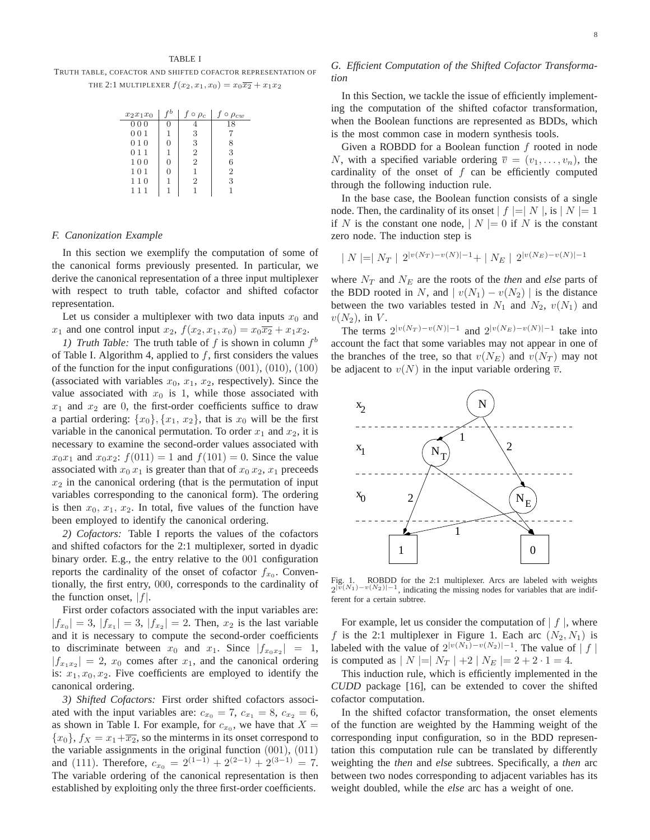TRUTH TABLE, COFACTOR AND SHIFTED COFACTOR REPRESENTATION OF THE 2:1 MULTIPLEXER  $f(x_2, x_1, x_0) = x_0 \overline{x_2} + x_1 x_2$ 

| $x_2x_1x_0$ |              | $\circ$ $\rho_c$ | $\circ$ $\rho_{cw}$ |
|-------------|--------------|------------------|---------------------|
| 000         | $\mathbf{0}$ |                  | 18                  |
| 001         | 1            | 3                |                     |
| 010         | 0            | 3                | 8                   |
| 011         | 1            | $\overline{2}$   | 3                   |
| 100         | $\Omega$     | $\overline{2}$   | 6                   |
| 101         | 0            | 1                | $\overline{2}$      |
| 110         | 1            | 2                | 3                   |
| 111         | 1            |                  |                     |

#### *F. Canonization Example*

In this section we exemplify the computation of some of the canonical forms previously presented. In particular, we derive the canonical representation of a three input multiplexer with respect to truth table, cofactor and shifted cofactor representation.

Let us consider a multiplexer with two data inputs  $x_0$  and  $x_1$  and one control input  $x_2$ ,  $f(x_2, x_1, x_0) = x_0 \overline{x_2} + x_1 x_2$ .

*1) Truth Table:* The truth table of  $f$  is shown in column  $f^b$ of Table I. Algorithm 4, applied to  $f$ , first considers the values of the function for the input configurations (001), (010), (100) (associated with variables  $x_0$ ,  $x_1$ ,  $x_2$ , respectively). Since the value associated with  $x_0$  is 1, while those associated with  $x_1$  and  $x_2$  are 0, the first-order coefficients suffice to draw a partial ordering:  $\{x_0\}$ ,  $\{x_1, x_2\}$ , that is  $x_0$  will be the first variable in the canonical permutation. To order  $x_1$  and  $x_2$ , it is necessary to examine the second-order values associated with  $x_0x_1$  and  $x_0x_2$ :  $f(011) = 1$  and  $f(101) = 0$ . Since the value associated with  $x_0 x_1$  is greater than that of  $x_0 x_2, x_1$  preceeds  $x_2$  in the canonical ordering (that is the permutation of input variables corresponding to the canonical form). The ordering is then  $x_0, x_1, x_2$ . In total, five values of the function have been employed to identify the canonical ordering.

*2) Cofactors:* Table I reports the values of the cofactors and shifted cofactors for the 2:1 multiplexer, sorted in dyadic binary order. E.g., the entry relative to the 001 configuration reports the cardinality of the onset of cofactor  $f_{x_0}$ . Conventionally, the first entry, 000, corresponds to the cardinality of the function onset,  $|f|$ .

First order cofactors associated with the input variables are:  $|f_{x_0}| = 3, |f_{x_1}| = 3, |f_{x_2}| = 2.$  Then,  $x_2$  is the last variable and it is necessary to compute the second-order coefficients to discriminate between  $x_0$  and  $x_1$ . Since  $|f_{x_0x_2}| = 1$ ,  $|f_{x_1x_2}| = 2$ ,  $x_0$  comes after  $x_1$ , and the canonical ordering is:  $x_1, x_0, x_2$ . Five coefficients are employed to identify the canonical ordering.

*3) Shifted Cofactors:* First order shifted cofactors associated with the input variables are:  $c_{x_0} = 7$ ,  $c_{x_1} = 8$ ,  $c_{x_2} = 6$ , as shown in Table I. For example, for  $c_{x_0}$ , we have that  $X =$  ${x_0}, f_X = x_1 + \overline{x_2}$ , so the minterms in its onset correspond to the variable assignments in the original function  $(001)$ ,  $(011)$ and (111). Therefore,  $c_{x_0} = 2^{(1-1)} + 2^{(2-1)} + 2^{(3-1)} = 7$ . The variable ordering of the canonical representation is then established by exploiting only the three first-order coefficients.

# *G. Efficient Computation of the Shifted Cofactor Transformation*

In this Section, we tackle the issue of efficiently implementing the computation of the shifted cofactor transformation, when the Boolean functions are represented as BDDs, which is the most common case in modern synthesis tools.

Given a ROBDD for a Boolean function  $f$  rooted in node N, with a specified variable ordering  $\overline{v} = (v_1, \ldots, v_n)$ , the cardinality of the onset of  $f$  can be efficiently computed through the following induction rule.

In the base case, the Boolean function consists of a single node. Then, the cardinality of its onset  $| f | = | N |$ , is  $| N | = 1$ if N is the constant one node,  $|N| = 0$  if N is the constant zero node. The induction step is

$$
| N | = | N_T | 2^{|v(N_T) - v(N)| - 1} + | N_E | 2^{|v(N_E) - v(N)| - 1}
$$

where  $N_T$  and  $N_E$  are the roots of the *then* and *else* parts of the BDD rooted in N, and  $|v(N_1) - v(N_2)|$  is the distance between the two variables tested in  $N_1$  and  $N_2$ ,  $v(N_1)$  and  $v(N_2)$ , in V.

The terms  $2^{|v(N_T)-v(N)|-1}$  and  $2^{|v(N_E)-v(N)|-1}$  take into account the fact that some variables may not appear in one of the branches of the tree, so that  $v(N_E)$  and  $v(N_T)$  may not be adjacent to  $v(N)$  in the input variable ordering  $\overline{v}$ .



Fig. 1. ROBDD for the 2:1 multiplexer. Arcs are labeled with weights  $2^{|v|}(N_1)-v(N_2)|-1$ , indicating the missing nodes for variables that are indifferent for a certain subtree.

For example, let us consider the computation of  $|f|$ , where f is the 2:1 multiplexer in Figure 1. Each arc  $(N_2, N_1)$  is labeled with the value of  $2^{|v(N_1)-v(N_2)|-1}$ . The value of  $|f|$ is computed as  $|N| = |N_T| + 2 |N_E| = 2 + 2 \cdot 1 = 4.$ 

This induction rule, which is efficiently implemented in the *CUDD* package [16], can be extended to cover the shifted cofactor computation.

In the shifted cofactor transformation, the onset elements of the function are weighted by the Hamming weight of the corresponding input configuration, so in the BDD representation this computation rule can be translated by differently weighting the *then* and *else* subtrees. Specifically, a *then* arc between two nodes corresponding to adjacent variables has its weight doubled, while the *else* arc has a weight of one.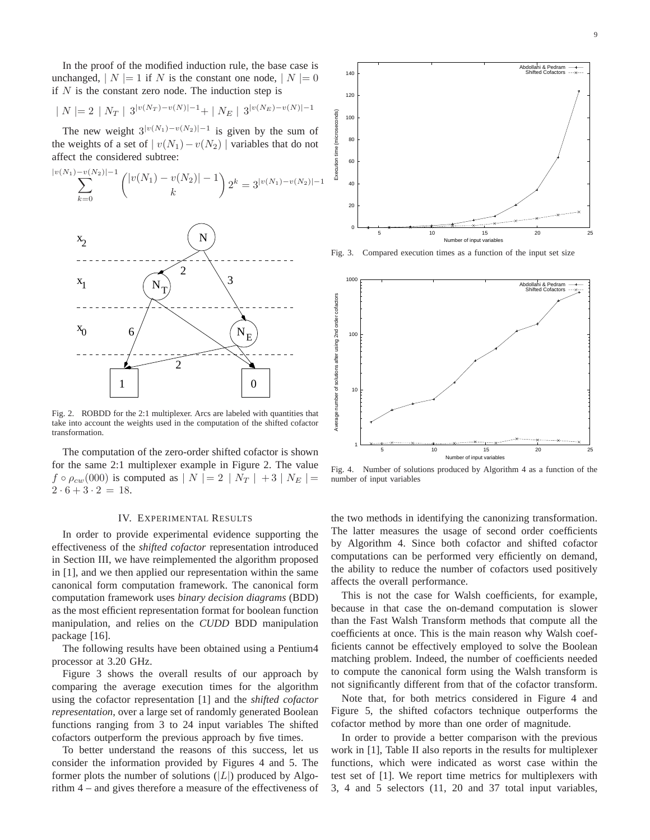In the proof of the modified induction rule, the base case is unchanged,  $|N| = 1$  if N is the constant one node,  $|N| = 0$ if  $N$  is the constant zero node. The induction step is

$$
| N = 2 | N_T | 3^{|v(N_T) - v(N)| - 1} + | N_E | 3^{|v(N_E) - v(N)| - 1}
$$

The new weight  $3^{|v(N_1)-v(N_2)|-1}$  is given by the sum of the weights of a set of  $|v(N_1)-v(N_2)|$  variables that do not affect the considered subtree:



Fig. 2. ROBDD for the 2:1 multiplexer. Arcs are labeled with quantities that take into account the weights used in the computation of the shifted cofactor transformation.

The computation of the zero-order shifted cofactor is shown for the same 2:1 multiplexer example in Figure 2. The value  $f \circ \rho_{cw}(000)$  is computed as  $|N| = 2 |N_T| + 3 |N_E| =$  $2 \cdot 6 + 3 \cdot 2 = 18.$ 

#### IV. EXPERIMENTAL RESULTS

In order to provide experimental evidence supporting the effectiveness of the *shifted cofactor* representation introduced in Section III, we have reimplemented the algorithm proposed in [1], and we then applied our representation within the same canonical form computation framework. The canonical form computation framework uses *binary decision diagrams* (BDD) as the most efficient representation format for boolean function manipulation, and relies on the *CUDD* BDD manipulation package [16].

The following results have been obtained using a Pentium4 processor at 3.20 GHz.

Figure 3 shows the overall results of our approach by comparing the average execution times for the algorithm using the cofactor representation [1] and the *shifted cofactor representation*, over a large set of randomly generated Boolean functions ranging from 3 to 24 input variables The shifted cofactors outperform the previous approach by five times.

To better understand the reasons of this success, let us consider the information provided by Figures 4 and 5. The former plots the number of solutions  $(|L|)$  produced by Algorithm 4 – and gives therefore a measure of the effectiveness of



Fig. 3. Compared execution times as a function of the input set size



Fig. 4. Number of solutions produced by Algorithm 4 as a function of the number of input variables

the two methods in identifying the canonizing transformation. The latter measures the usage of second order coefficients by Algorithm 4. Since both cofactor and shifted cofactor computations can be performed very efficiently on demand, the ability to reduce the number of cofactors used positively affects the overall performance.

This is not the case for Walsh coefficients, for example, because in that case the on-demand computation is slower than the Fast Walsh Transform methods that compute all the coefficients at once. This is the main reason why Walsh coefficients cannot be effectively employed to solve the Boolean matching problem. Indeed, the number of coefficients needed to compute the canonical form using the Walsh transform is not significantly different from that of the cofactor transform.

Note that, for both metrics considered in Figure 4 and Figure 5, the shifted cofactors technique outperforms the cofactor method by more than one order of magnitude.

In order to provide a better comparison with the previous work in [1], Table II also reports in the results for multiplexer functions, which were indicated as worst case within the test set of [1]. We report time metrics for multiplexers with 3, 4 and 5 selectors (11, 20 and 37 total input variables,